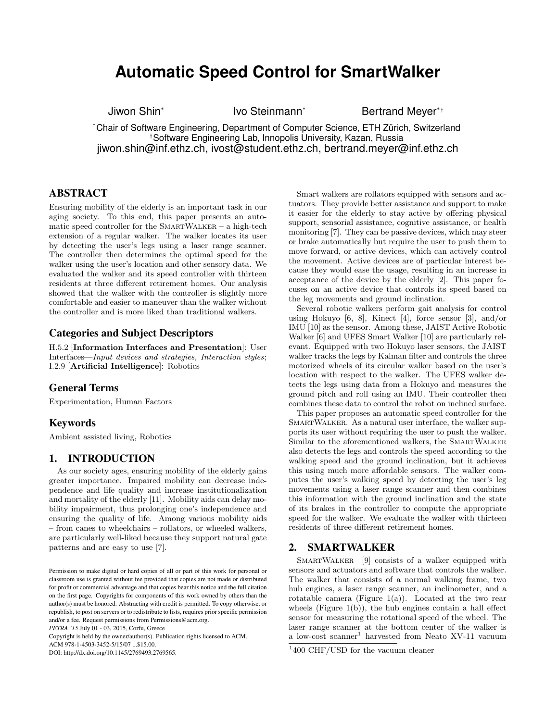# **Automatic Speed Control for SmartWalker**

Jiwon Shin\*

Ivo Steinmann<sup>\*</sup> Bertrand Meyer<sup>\*†</sup>

\*Chair of Software Engineering, Department of Computer Science, ETH Zürich, Switzerland †Software Engineering Lab, Innopolis University, Kazan, Russia jiwon.shin@inf.ethz.ch, ivost@student.ethz.ch, bertrand.meyer@inf.ethz.ch

## ABSTRACT

Ensuring mobility of the elderly is an important task in our aging society. To this end, this paper presents an automatic speed controller for the  $S_{\text{MARTWALKER}} - a$  high-tech extension of a regular walker. The walker locates its user by detecting the user's legs using a laser range scanner. The controller then determines the optimal speed for the walker using the user's location and other sensory data. We evaluated the walker and its speed controller with thirteen residents at three different retirement homes. Our analysis showed that the walker with the controller is slightly more comfortable and easier to maneuver than the walker without the controller and is more liked than traditional walkers.

### Categories and Subject Descriptors

H.5.2 [Information Interfaces and Presentation]: User Interfaces—Input devices and strategies, Interaction styles; I.2.9 [Artificial Intelligence]: Robotics

### General Terms

Experimentation, Human Factors

### Keywords

Ambient assisted living, Robotics

### 1. INTRODUCTION

As our society ages, ensuring mobility of the elderly gains greater importance. Impaired mobility can decrease independence and life quality and increase institutionalization and mortality of the elderly [11]. Mobility aids can delay mobility impairment, thus prolonging one's independence and ensuring the quality of life. Among various mobility aids – from canes to wheelchairs – rollators, or wheeled walkers, are particularly well-liked because they support natural gate patterns and are easy to use [7].

*PETRA '15* July 01 - 03, 2015, Corfu, Greece

Copyright is held by the owner/author(s). Publication rights licensed to ACM.

ACM 978-1-4503-3452-5/15/07 ...\$15.00.

DOI: http://dx.doi.org/10.1145/2769493.2769565.

Smart walkers are rollators equipped with sensors and actuators. They provide better assistance and support to make it easier for the elderly to stay active by offering physical support, sensorial assistance, cognitive assistance, or health monitoring [7]. They can be passive devices, which may steer or brake automatically but require the user to push them to move forward, or active devices, which can actively control the movement. Active devices are of particular interest because they would ease the usage, resulting in an increase in acceptance of the device by the elderly [2]. This paper focuses on an active device that controls its speed based on the leg movements and ground inclination.

Several robotic walkers perform gait analysis for control using Hokuyo [6, 8], Kinect [4], force sensor [3], and/or IMU [10] as the sensor. Among these, JAIST Active Robotic Walker [6] and UFES Smart Walker [10] are particularly relevant. Equipped with two Hokuyo laser sensors, the JAIST walker tracks the legs by Kalman filter and controls the three motorized wheels of its circular walker based on the user's location with respect to the walker. The UFES walker detects the legs using data from a Hokuyo and measures the ground pitch and roll using an IMU. Their controller then combines these data to control the robot on inclined surface.

This paper proposes an automatic speed controller for the SMARTWALKER. As a natural user interface, the walker supports its user without requiring the user to push the walker. Similar to the aforementioned walkers, the SMARTWALKER also detects the legs and controls the speed according to the walking speed and the ground inclination, but it achieves this using much more affordable sensors. The walker computes the user's walking speed by detecting the user's leg movements using a laser range scanner and then combines this information with the ground inclination and the state of its brakes in the controller to compute the appropriate speed for the walker. We evaluate the walker with thirteen residents of three different retirement homes.

### 2. SMARTWALKER

SmartWalker [9] consists of a walker equipped with sensors and actuators and software that controls the walker. The walker that consists of a normal walking frame, two hub engines, a laser range scanner, an inclinometer, and a rotatable camera (Figure 1(a)). Located at the two rear wheels (Figure  $1(b)$ ), the hub engines contain a hall effect sensor for measuring the rotational speed of the wheel. The laser range scanner at the bottom center of the walker is a low-cost scanner<sup>1</sup> harvested from Neato XV-11 vacuum

Permission to make digital or hard copies of all or part of this work for personal or classroom use is granted without fee provided that copies are not made or distributed for profit or commercial advantage and that copies bear this notice and the full citation on the first page. Copyrights for components of this work owned by others than the author(s) must be honored. Abstracting with credit is permitted. To copy otherwise, or republish, to post on servers or to redistribute to lists, requires prior specific permission and/or a fee. Request permissions from Permissions@acm.org.

<sup>1</sup> 400 CHF/USD for the vacuum cleaner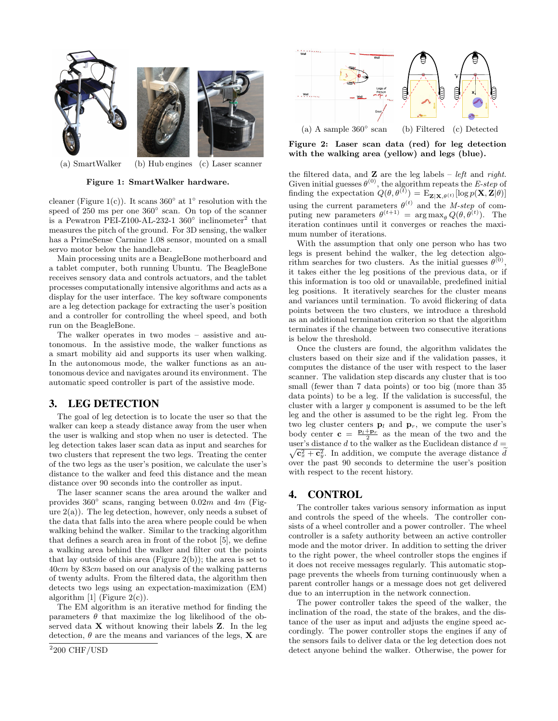

(a) SmartWalker (b) Hub engines (c) Laser scanner

#### Figure 1: SmartWalker hardware.

cleaner (Figure 1(c)). It scans  $360^{\circ}$  at  $1^{\circ}$  resolution with the speed of 250 ms per one 360° scan. On top of the scanner is a Pewatron PEI-Z100-AL-232-1  $360^{\circ}$  inclinometer<sup>2</sup> that measures the pitch of the ground. For 3D sensing, the walker has a PrimeSense Carmine 1.08 sensor, mounted on a small servo motor below the handlebar.

Main processing units are a BeagleBone motherboard and a tablet computer, both running Ubuntu. The BeagleBone receives sensory data and controls actuators, and the tablet processes computationally intensive algorithms and acts as a display for the user interface. The key software components are a leg detection package for extracting the user's position and a controller for controlling the wheel speed, and both run on the BeagleBone.

The walker operates in two modes – assistive and autonomous. In the assistive mode, the walker functions as a smart mobility aid and supports its user when walking. In the autonomous mode, the walker functions as an autonomous device and navigates around its environment. The automatic speed controller is part of the assistive mode.

### 3. LEG DETECTION

The goal of leg detection is to locate the user so that the walker can keep a steady distance away from the user when the user is walking and stop when no user is detected. The leg detection takes laser scan data as input and searches for two clusters that represent the two legs. Treating the center of the two legs as the user's position, we calculate the user's distance to the walker and feed this distance and the mean distance over 90 seconds into the controller as input.

The laser scanner scans the area around the walker and provides  $360^{\circ}$  scans, ranging between  $0.02m$  and  $4m$  (Figure  $2(a)$ ). The leg detection, however, only needs a subset of the data that falls into the area where people could be when walking behind the walker. Similar to the tracking algorithm that defines a search area in front of the robot [5], we define a walking area behind the walker and filter out the points that lay outside of this area (Figure  $2(b)$ ); the area is set to 40cm by 83cm based on our analysis of the walking patterns of twenty adults. From the filtered data, the algorithm then detects two legs using an expectation-maximization (EM) algorithm  $[1]$  (Figure 2(c)).

The EM algorithm is an iterative method for finding the parameters  $\theta$  that maximize the log likelihood of the observed data X without knowing their labels Z. In the leg detection,  $\theta$  are the means and variances of the legs, **X** are



Figure 2: Laser scan data (red) for leg detection with the walking area (yellow) and legs (blue).

the filtered data, and  $\mathbf{Z}$  are the leg labels – *left* and *right*. Given initial guesses  $\theta^{(0)}$ , the algorithm repeats the *E-step* of finding the expectation  $Q(\theta, \theta^{(t)}) = \mathrm{E}_{\mathbf{Z}|\mathbf{X}, \theta^{(t)}}[\log p(\mathbf{X}, \mathbf{Z}|\theta)]$ using the current parameters  $\theta^{(t)}$  and the *M-step* of computing new parameters  $\theta^{(t+1)} = \arg \max_{\theta} Q(\theta, \theta^{(t)})$ . The iteration continues until it converges or reaches the maximum number of iterations.

With the assumption that only one person who has two legs is present behind the walker, the leg detection algorithm searches for two clusters. As the initial guesses  $\theta^{(0)}$ , it takes either the leg positions of the previous data, or if this information is too old or unavailable, predefined initial leg positions. It iteratively searches for the cluster means and variances until termination. To avoid flickering of data points between the two clusters, we introduce a threshold as an additional termination criterion so that the algorithm terminates if the change between two consecutive iterations is below the threshold.

Once the clusters are found, the algorithm validates the clusters based on their size and if the validation passes, it computes the distance of the user with respect to the laser scanner. The validation step discards any cluster that is too small (fewer than 7 data points) or too big (more than 35 data points) to be a leg. If the validation is successful, the cluster with a larger y component is assumed to be the left leg and the other is assumed to be the right leg. From the two leg cluster centers  $\mathbf{p}_l$  and  $\mathbf{p}_r$ , we compute the user's body center  $\mathbf{c} = \frac{\mathbf{p}_l + \mathbf{p}_r}{2}$  as the mean of the two and the user's distance d to the walker as the Euclidean distance  $d =$  $\sqrt{\mathbf{c}_x^2 + \mathbf{c}_y^2}$ . In addition, we compute the average distance dependence over the past 90 seconds to determine the user's position with respect to the recent history.

### 4. CONTROL

The controller takes various sensory information as input and controls the speed of the wheels. The controller consists of a wheel controller and a power controller. The wheel controller is a safety authority between an active controller mode and the motor driver. In addition to setting the driver to the right power, the wheel controller stops the engines if it does not receive messages regularly. This automatic stoppage prevents the wheels from turning continuously when a parent controller hangs or a message does not get delivered due to an interruption in the network connection.

The power controller takes the speed of the walker, the inclination of the road, the state of the brakes, and the distance of the user as input and adjusts the engine speed accordingly. The power controller stops the engines if any of the sensors fails to deliver data or the leg detection does not detect anyone behind the walker. Otherwise, the power for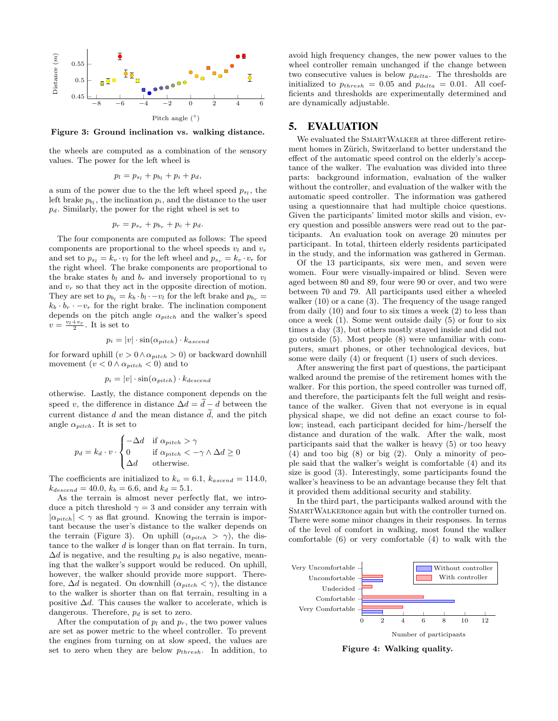

Figure 3: Ground inclination vs. walking distance.

the wheels are computed as a combination of the sensory values. The power for the left wheel is

$$
p_l = p_{s_l} + p_{b_l} + p_i + p_d,
$$

a sum of the power due to the the left wheel speed  $p_{s_l}$ , the left brake  $p_{b_l}$ , the inclination  $p_i$ , and the distance to the user  $p_d$ . Similarly, the power for the right wheel is set to

$$
p_r = p_{s_r} + p_{b_r} + p_c + p_d.
$$

The four components are computed as follows: The speed components are proportional to the wheel speeds  $v_l$  and  $v_r$ and set to  $p_{s_l} = k_v \cdot v_l$  for the left wheel and  $p_{s_r} = k_v \cdot v_r$  for the right wheel. The brake components are proportional to the brake states  $b_l$  and  $b_r$  and inversely proportional to  $v_l$ and  $v_r$  so that they act in the opposite direction of motion. They are set to  $p_{b_l} = k_b \cdot b_l \cdot -v_l$  for the left brake and  $p_{b_r} =$  $k_b \cdot b_r \cdot -v_r$  for the right brake. The inclination component depends on the pitch angle  $\alpha_{pitch}$  and the walker's speed  $v = \frac{v_l + v_r}{2}$ . It is set to

$$
p_i = |v| \cdot \sin(\alpha_{pitch}) \cdot k_{ascend}
$$

for forward uphill  $(v > 0 \land \alpha_{pitch} > 0)$  or backward downhill movement  $(v < 0 \land \alpha_{pitch} < 0)$  and to

$$
p_i = |v| \cdot \sin(\alpha_{pitch}) \cdot k_{descend}
$$

otherwise. Lastly, the distance component depends on the speed v, the difference in distance  $\Delta d = d - d$  between the current distance d and the mean distance  $\tilde{d}$ , and the pitch angle  $\alpha_{pitch}$ . It is set to

$$
p_d = k_d \cdot v \cdot \begin{cases} -\Delta d & \text{if } \alpha_{pitch} > \gamma \\ 0 & \text{if } \alpha_{pitch} < -\gamma \wedge \Delta d \ge 0 \\ \Delta d & \text{otherwise.} \end{cases}
$$

The coefficients are initialized to  $k_v = 6.1$ ,  $k_{ascend} = 114.0$ ,  $k_{descend} = 40.0, k_b = 6.6, \text{ and } k_d = 5.1.$ 

As the terrain is almost never perfectly flat, we introduce a pitch threshold  $\gamma = 3$  and consider any terrain with  $|\alpha_{pitch}| < \gamma$  as flat ground. Knowing the terrain is important because the user's distance to the walker depends on the terrain (Figure 3). On uphill  $(\alpha_{pitch} > \gamma)$ , the distance to the walker  $d$  is longer than on flat terrain. In turn,  $\Delta d$  is negative, and the resulting  $p_d$  is also negative, meaning that the walker's support would be reduced. On uphill, however, the walker should provide more support. Therefore,  $\Delta d$  is negated. On downhill  $(\alpha_{pitch} < \gamma)$ , the distance to the walker is shorter than on flat terrain, resulting in a positive  $\Delta d$ . This causes the walker to accelerate, which is dangerous. Therefore,  $p_d$  is set to zero.

After the computation of  $p_l$  and  $p_r$ , the two power values are set as power metric to the wheel controller. To prevent the engines from turning on at slow speed, the values are set to zero when they are below  $p_{thresh}$ . In addition, to avoid high frequency changes, the new power values to the wheel controller remain unchanged if the change between two consecutive values is below  $p_{delta}$ . The thresholds are initialized to  $p_{thresh} = 0.05$  and  $p_{delta} = 0.01$ . All coefficients and thresholds are experimentally determined and are dynamically adjustable.

### 5. EVALUATION

We evaluated the SMARTWALKER at three different retirement homes in Zürich, Switzerland to better understand the effect of the automatic speed control on the elderly's acceptance of the walker. The evaluation was divided into three parts: background information, evaluation of the walker without the controller, and evaluation of the walker with the automatic speed controller. The information was gathered using a questionnaire that had multiple choice questions. Given the participants' limited motor skills and vision, every question and possible answers were read out to the participants. An evaluation took on average 20 minutes per participant. In total, thirteen elderly residents participated in the study, and the information was gathered in German.

Of the 13 participants, six were men, and seven were women. Four were visually-impaired or blind. Seven were aged between 80 and 89, four were 90 or over, and two were between 70 and 79. All participants used either a wheeled walker (10) or a cane (3). The frequency of the usage ranged from daily (10) and four to six times a week (2) to less than once a week (1). Some went outside daily (5) or four to six times a day (3), but others mostly stayed inside and did not go outside (5). Most people (8) were unfamiliar with computers, smart phones, or other technological devices, but some were daily (4) or frequent (1) users of such devices.

After answering the first part of questions, the participant walked around the premise of the retirement homes with the walker. For this portion, the speed controller was turned off, and therefore, the participants felt the full weight and resistance of the walker. Given that not everyone is in equal physical shape, we did not define an exact course to follow; instead, each participant decided for him-/herself the distance and duration of the walk. After the walk, most participants said that the walker is heavy (5) or too heavy (4) and too big (8) or big (2). Only a minority of people said that the walker's weight is comfortable (4) and its size is good (3). Interestingly, some participants found the walker's heaviness to be an advantage because they felt that it provided them additional security and stability.

In the third part, the participants walked around with the SmartWalkeronce again but with the controller turned on. There were some minor changes in their responses. In terms of the level of comfort in walking, most found the walker comfortable (6) or very comfortable (4) to walk with the



Figure 4: Walking quality.